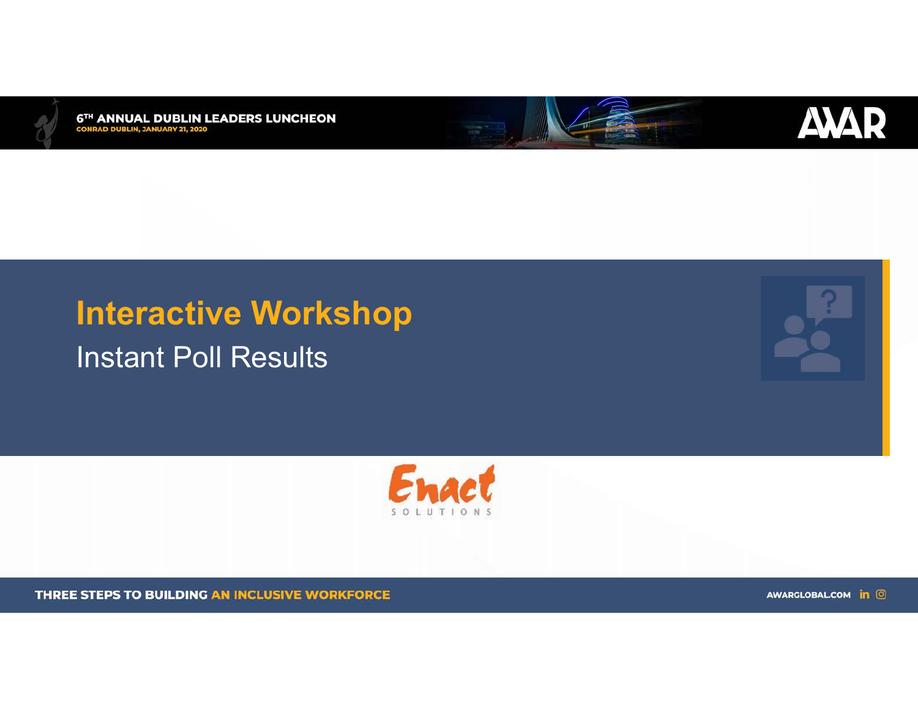



## **Interactive Workshop Instant Poll Results**



THREE STEPS TO BUILDING AN INCLUSIVE WORKFORCE

AWARGLOBAL.COM **in** ©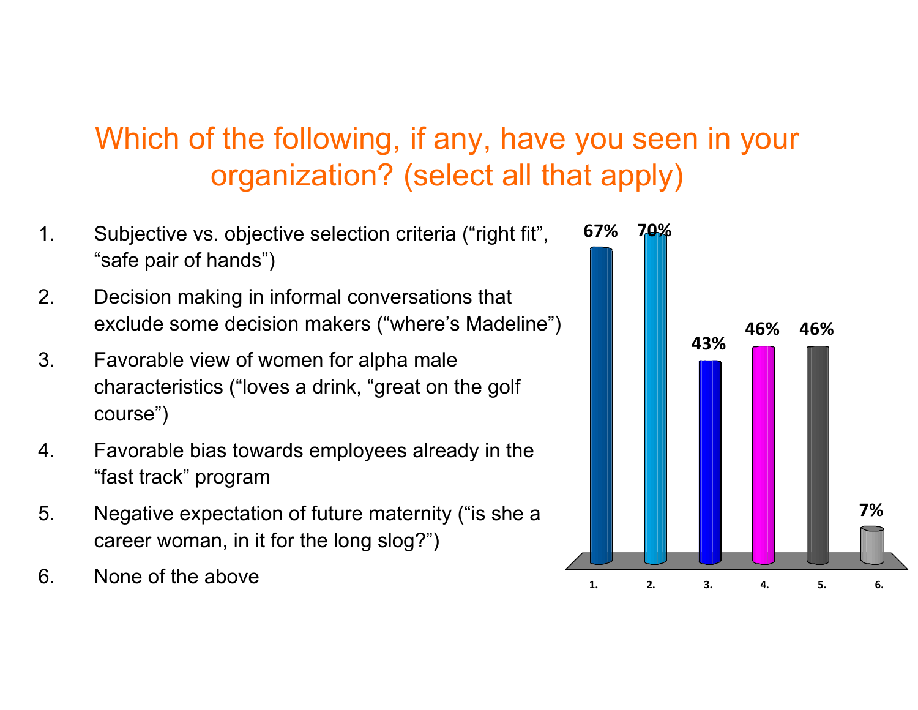# Which of the following, if any, have you seen in your organization? (select all that apply)

- 1. Subjective vs. objective selection criteria ("right fit", "safe pair of hands")
- 2. Decision making in informal conversations that exclude some decision makers ("where's Madeline")
- 3. Favorable view of women for alpha male characteristics ("loves a drink, "great on the golf course´)
- 4. Favorable bias towards employees already in the ³fast track´ program
- 5. Negative expectation of future maternity ("is she a career woman, in it for the long slog?")
- 

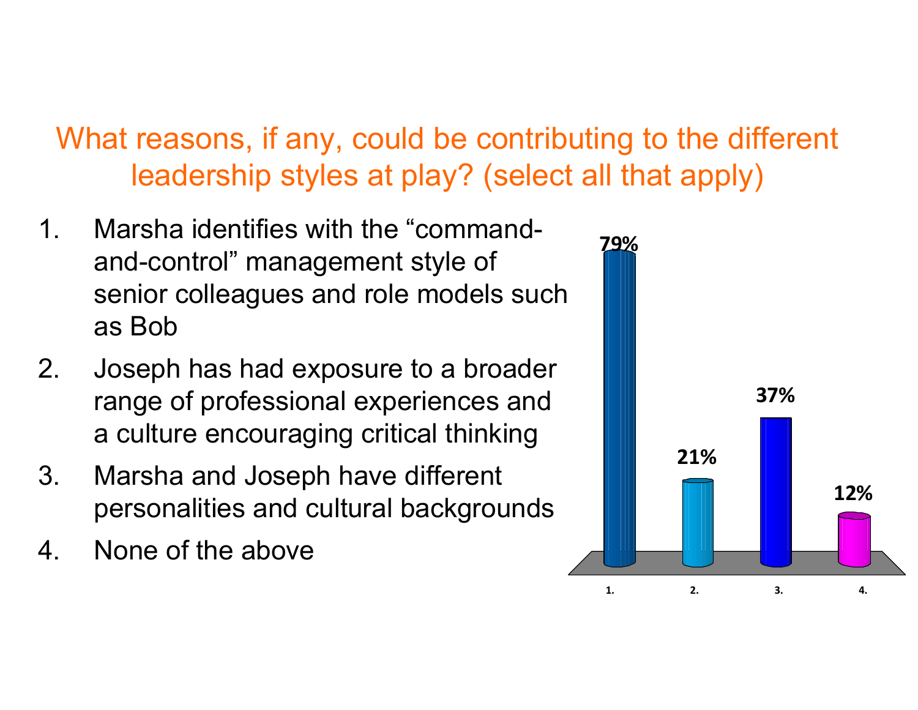What reasons, if any, could be contributing to the different leadership styles at play? (select all that apply)

- 1. Marsha identifies with the "commandand-control" management style of senior colleagues and role models such as Bob
- 2. Joseph has had exposure to a broader range of professional experiences and a culture encouraging critical thinking
- 3. Marsha and Joseph have different personalities and cultural backgrounds
- 4. None of the above

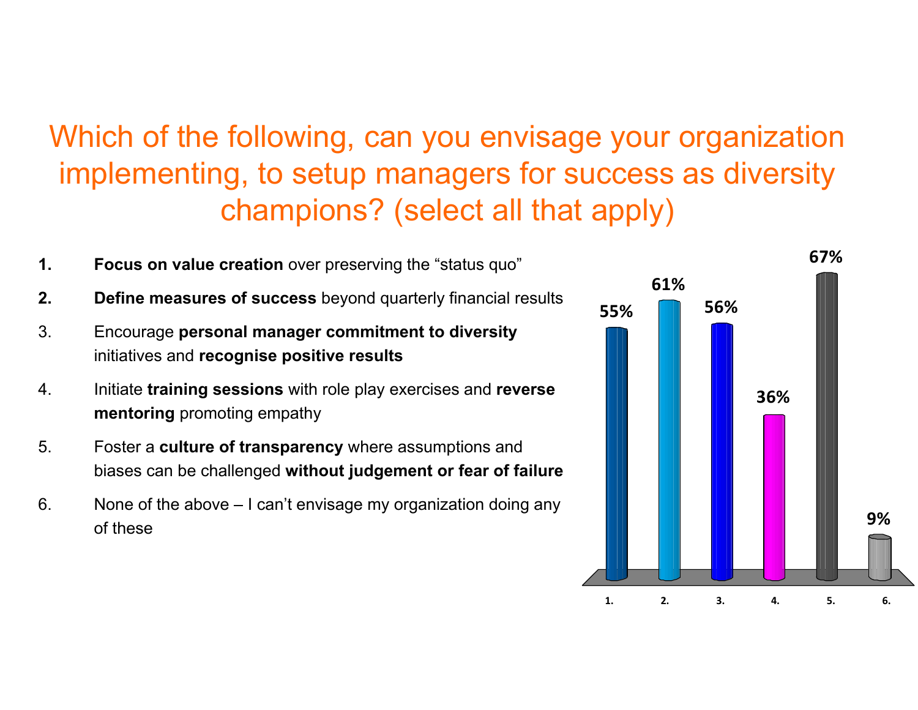### Which of the following, can you envisage your organization implementing, to setup managers for success as diversity champions? (select all that apply)

- $\mathbf 1$ . Focus on value creation over preserving the "status quo"
- $2.$ Define measures of success beyond quarterly financial results
- $3<sub>1</sub>$ Encourage personal manager commitment to diversity initiatives and recognise positive results
- $4.$ Initiate training sessions with role play exercises and reverse mentoring promoting empathy
- $5<sub>1</sub>$ Foster a culture of transparency where assumptions and biases can be challenged without judgement or fear of failure
- $6.$ None of the above  $-1$  can't envisage my organization doing any of these

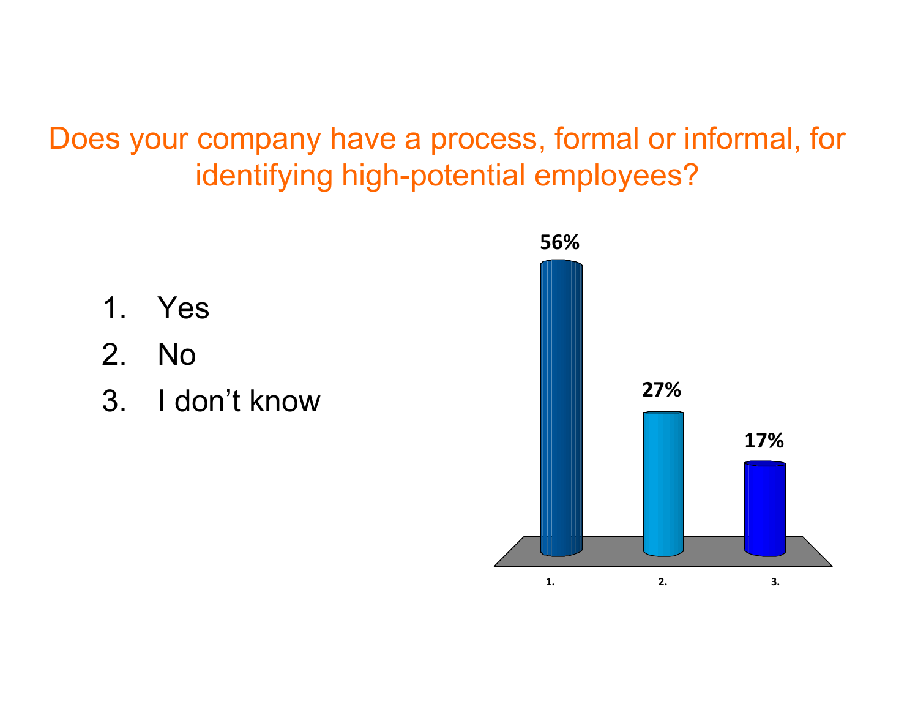Does your company have a process, formal or informal, for identifying high-potential employees?

- $1<sub>1</sub>$ Yes
- $2<sub>1</sub>$ **No**
- I don't know  $3<sub>1</sub>$

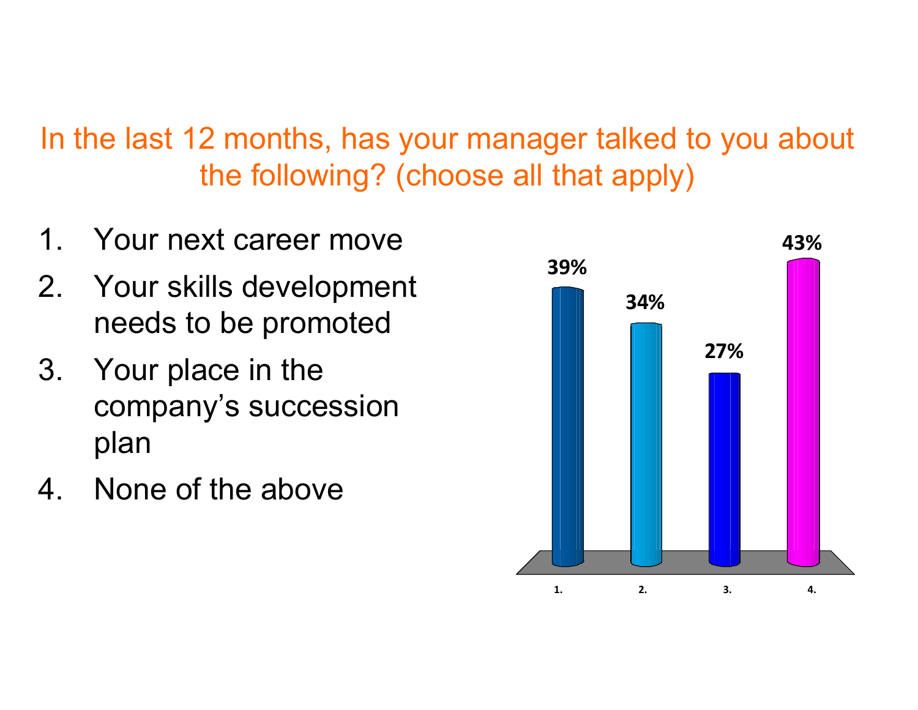In the last 12 months, has your manager talked to you about the following? (choose all that apply)

- 1. Your next career move
- 2. Your skills development needs to be promoted
- 3. Your place in the company's succession plan
- 4. None of the above

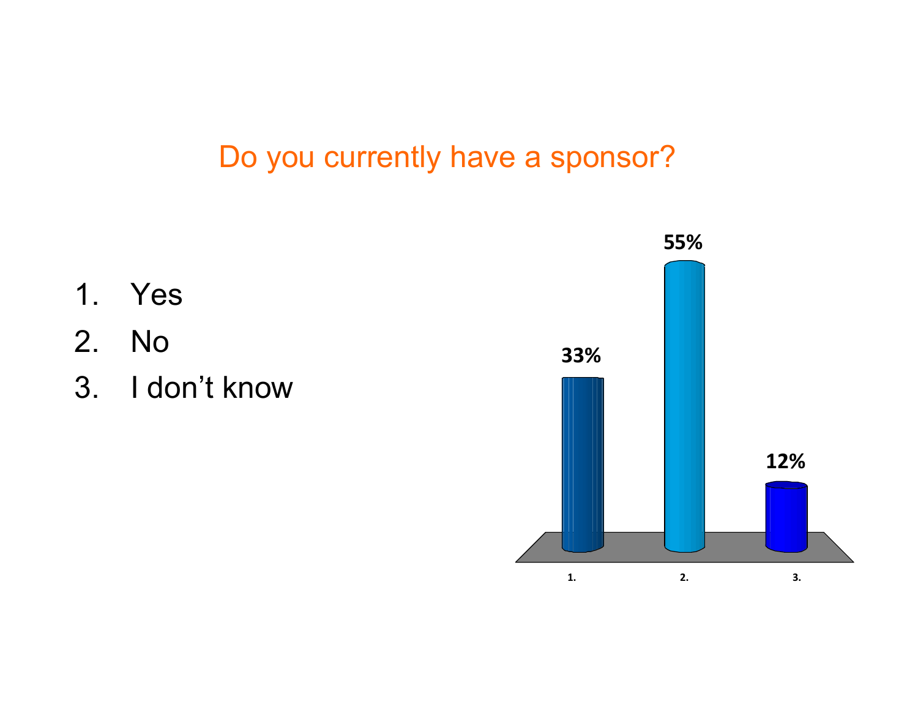### Do you currently have a sponsor?



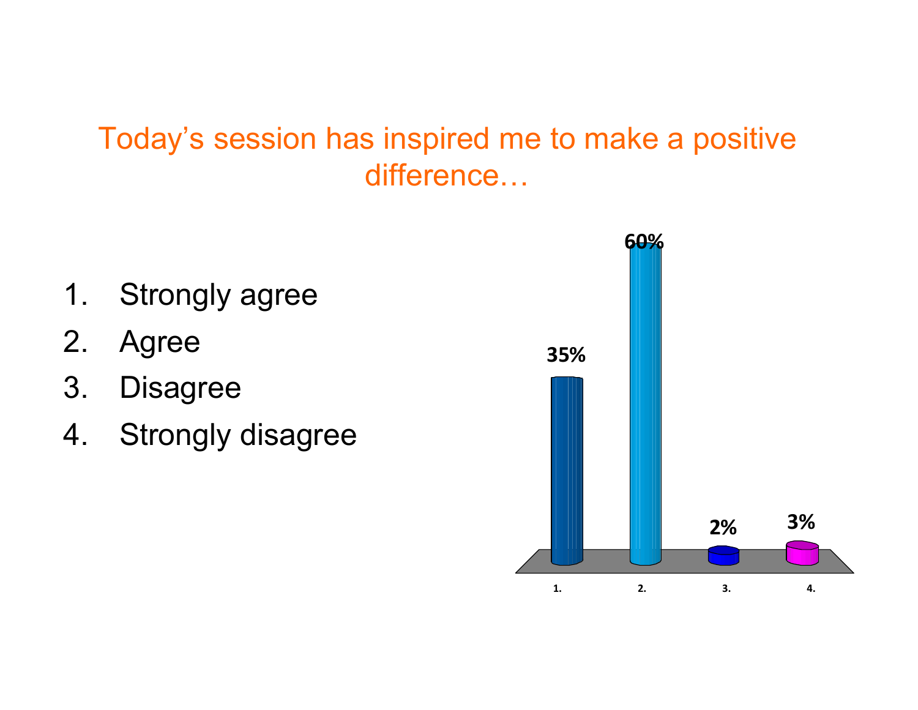#### Today's session has inspired me to make a positive difference...

- **Strongly agree**  $1.$
- 2. Agree
- **Disagree**  $3.$
- **Strongly disagree** 4.